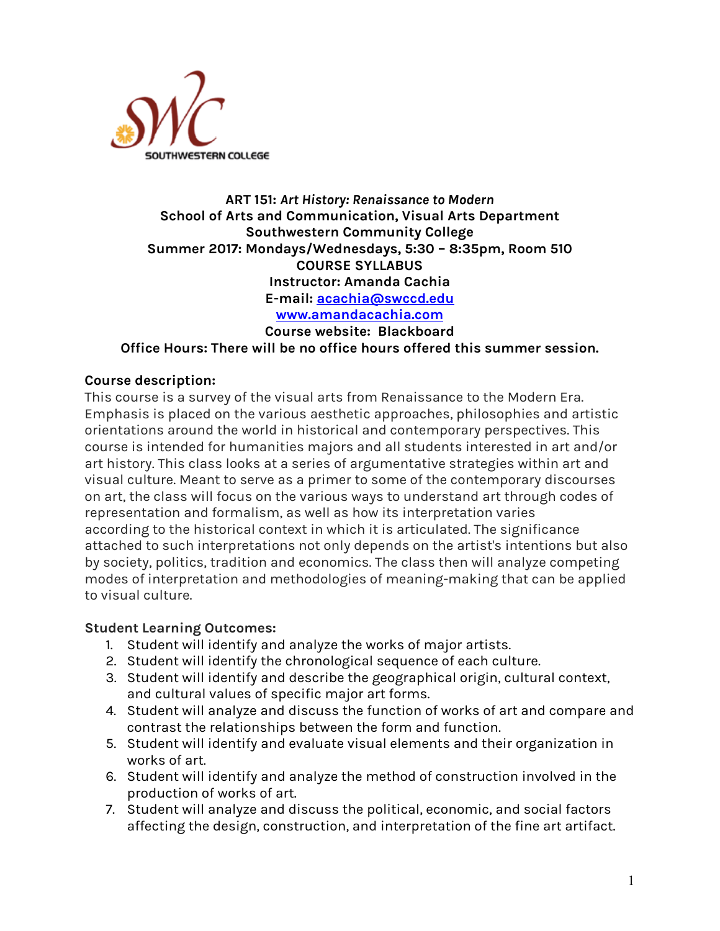

## **ART 151:** *Art History: Renaissance to Modern* **School of Arts and Communication, Visual Arts Department Southwestern Community College Summer 2017: Mondays/Wednesdays, 5:30 – 8:35pm, Room 510 COURSE SYLLABUS Instructor: Amanda Cachia E-mail: acachia@swccd.edu www.amandacachia.com Course website: Blackboard**

**Office Hours: There will be no office hours offered this summer session.**

## **Course description:**

This course is a survey of the visual arts from Renaissance to the Modern Era. Emphasis is placed on the various aesthetic approaches, philosophies and artistic orientations around the world in historical and contemporary perspectives. This course is intended for humanities majors and all students interested in art and/or art history. This class looks at a series of argumentative strategies within art and visual culture. Meant to serve as a primer to some of the contemporary discourses on art, the class will focus on the various ways to understand art through codes of representation and formalism, as well as how its interpretation varies according to the historical context in which it is articulated. The significance attached to such interpretations not only depends on the artist's intentions but also by society, politics, tradition and economics. The class then will analyze competing modes of interpretation and methodologies of meaning-making that can be applied to visual culture.

## **Student Learning Outcomes:**

- 1. Student will identify and analyze the works of major artists.
- 2. Student will identify the chronological sequence of each culture.
- 3. Student will identify and describe the geographical origin, cultural context, and cultural values of specific major art forms.
- 4. Student will analyze and discuss the function of works of art and compare and contrast the relationships between the form and function.
- 5. Student will identify and evaluate visual elements and their organization in works of art.
- 6. Student will identify and analyze the method of construction involved in the production of works of art.
- 7. Student will analyze and discuss the political, economic, and social factors affecting the design, construction, and interpretation of the fine art artifact.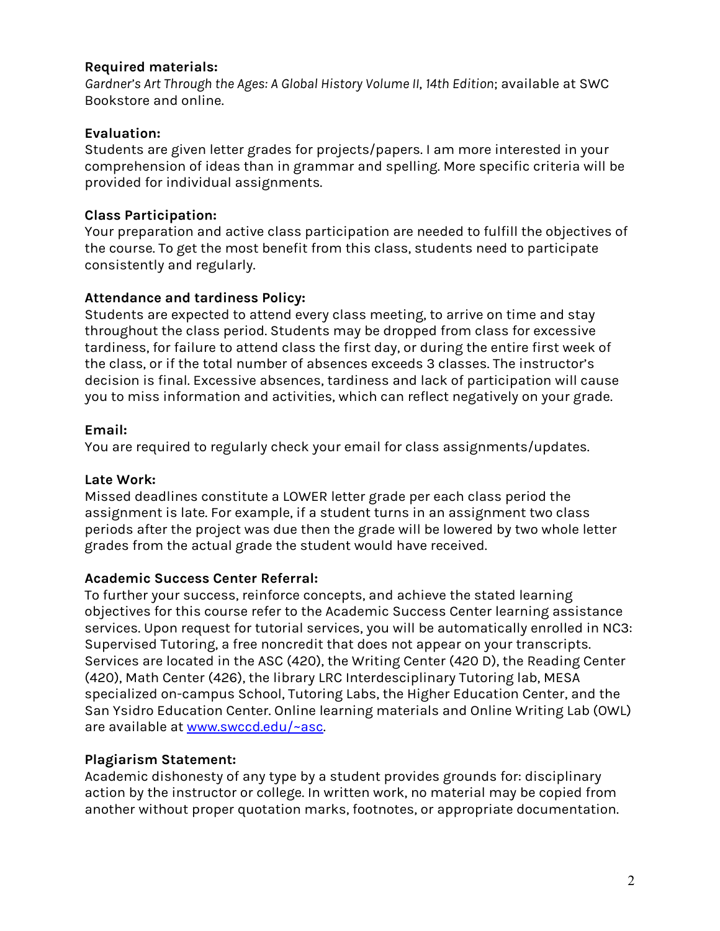## **Required materials:**

*Gardner's Art Through the Ages: A Global History Volume II*, *14th Edition*; available at SWC Bookstore and online.

# **Evaluation:**

Students are given letter grades for projects/papers. I am more interested in your comprehension of ideas than in grammar and spelling. More specific criteria will be provided for individual assignments.

# **Class Participation:**

Your preparation and active class participation are needed to fulfill the objectives of the course. To get the most benefit from this class, students need to participate consistently and regularly.

# **Attendance and tardiness Policy:**

Students are expected to attend every class meeting, to arrive on time and stay throughout the class period. Students may be dropped from class for excessive tardiness, for failure to attend class the first day, or during the entire first week of the class, or if the total number of absences exceeds 3 classes. The instructor's decision is final. Excessive absences, tardiness and lack of participation will cause you to miss information and activities, which can reflect negatively on your grade.

# **Email:**

You are required to regularly check your email for class assignments/updates.

## **Late Work:**

Missed deadlines constitute a LOWER letter grade per each class period the assignment is late. For example, if a student turns in an assignment two class periods after the project was due then the grade will be lowered by two whole letter grades from the actual grade the student would have received.

## **Academic Success Center Referral:**

To further your success, reinforce concepts, and achieve the stated learning objectives for this course refer to the Academic Success Center learning assistance services. Upon request for tutorial services, you will be automatically enrolled in NC3: Supervised Tutoring, a free noncredit that does not appear on your transcripts. Services are located in the ASC (420), the Writing Center (420 D), the Reading Center (420), Math Center (426), the library LRC Interdesciplinary Tutoring lab, MESA specialized on-campus School, Tutoring Labs, the Higher Education Center, and the San Ysidro Education Center. Online learning materials and Online Writing Lab (OWL) are available at www.swccd.edu/~asc.

# **Plagiarism Statement:**

Academic dishonesty of any type by a student provides grounds for: disciplinary action by the instructor or college. In written work, no material may be copied from another without proper quotation marks, footnotes, or appropriate documentation.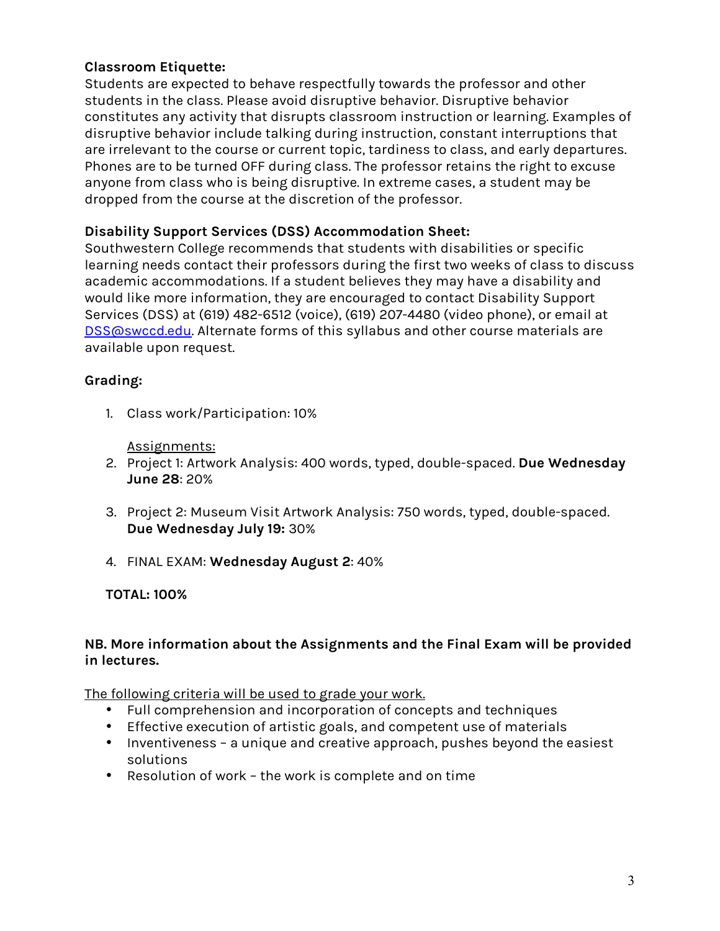# **Classroom Etiquette:**

Students are expected to behave respectfully towards the professor and other students in the class. Please avoid disruptive behavior. Disruptive behavior constitutes any activity that disrupts classroom instruction or learning. Examples of disruptive behavior include talking during instruction, constant interruptions that are irrelevant to the course or current topic, tardiness to class, and early departures. Phones are to be turned OFF during class. The professor retains the right to excuse anyone from class who is being disruptive. In extreme cases, a student may be dropped from the course at the discretion of the professor.

## **Disability Support Services (DSS) Accommodation Sheet:**

Southwestern College recommends that students with disabilities or specific learning needs contact their professors during the first two weeks of class to discuss academic accommodations. If a student believes they may have a disability and would like more information, they are encouraged to contact Disability Support Services (DSS) at (619) 482-6512 (voice), (619) 207-4480 (video phone), or email at DSS@swccd.edu. Alternate forms of this syllabus and other course materials are available upon request.

# **Grading:**

1. Class work/Participation: 10%

Assignments:

- 2. Project 1: Artwork Analysis: 400 words, typed, double-spaced. **Due Wednesday June 28**: 20%
- 3. Project 2: Museum Visit Artwork Analysis: 750 words, typed, double-spaced. **Due Wednesday July 19:** 30%
- 4. FINAL EXAM: **Wednesday August 2**: 40%

## **TOTAL: 100%**

## **NB. More information about the Assignments and the Final Exam will be provided in lectures.**

The following criteria will be used to grade your work.

- Full comprehension and incorporation of concepts and techniques
- Effective execution of artistic goals, and competent use of materials
- Inventiveness a unique and creative approach, pushes beyond the easiest solutions
- Resolution of work the work is complete and on time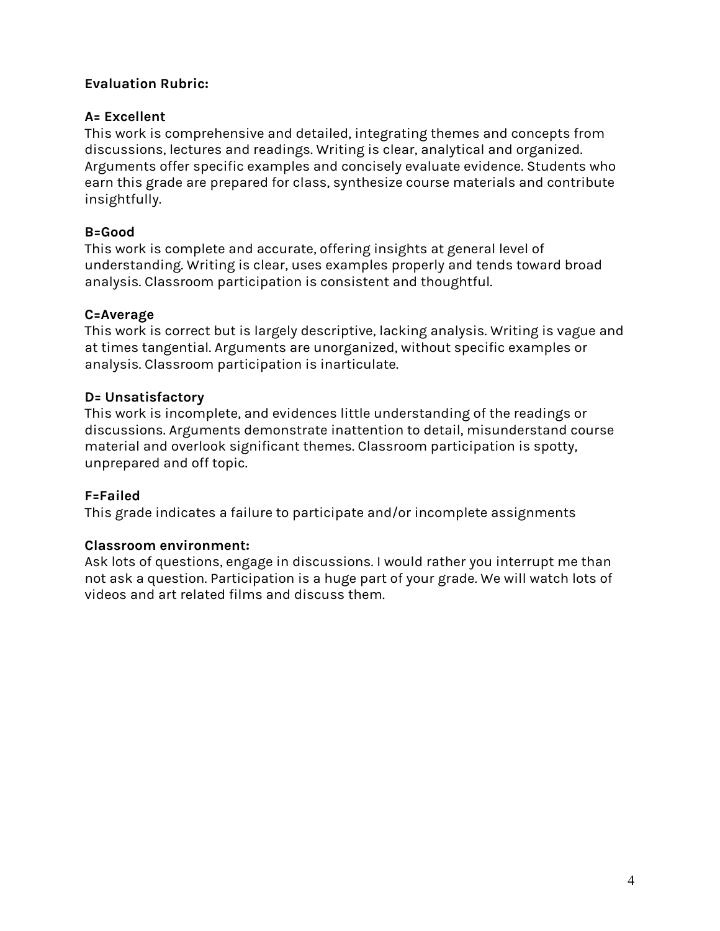# **Evaluation Rubric:**

## **A= Excellent**

This work is comprehensive and detailed, integrating themes and concepts from discussions, lectures and readings. Writing is clear, analytical and organized. Arguments offer specific examples and concisely evaluate evidence. Students who earn this grade are prepared for class, synthesize course materials and contribute insightfully.

# **B=Good**

This work is complete and accurate, offering insights at general level of understanding. Writing is clear, uses examples properly and tends toward broad analysis. Classroom participation is consistent and thoughtful.

# **C=Average**

This work is correct but is largely descriptive, lacking analysis. Writing is vague and at times tangential. Arguments are unorganized, without specific examples or analysis. Classroom participation is inarticulate.

# **D= Unsatisfactory**

This work is incomplete, and evidences little understanding of the readings or discussions. Arguments demonstrate inattention to detail, misunderstand course material and overlook significant themes. Classroom participation is spotty, unprepared and off topic.

## **F=Failed**

This grade indicates a failure to participate and/or incomplete assignments

## **Classroom environment:**

Ask lots of questions, engage in discussions. I would rather you interrupt me than not ask a question. Participation is a huge part of your grade. We will watch lots of videos and art related films and discuss them.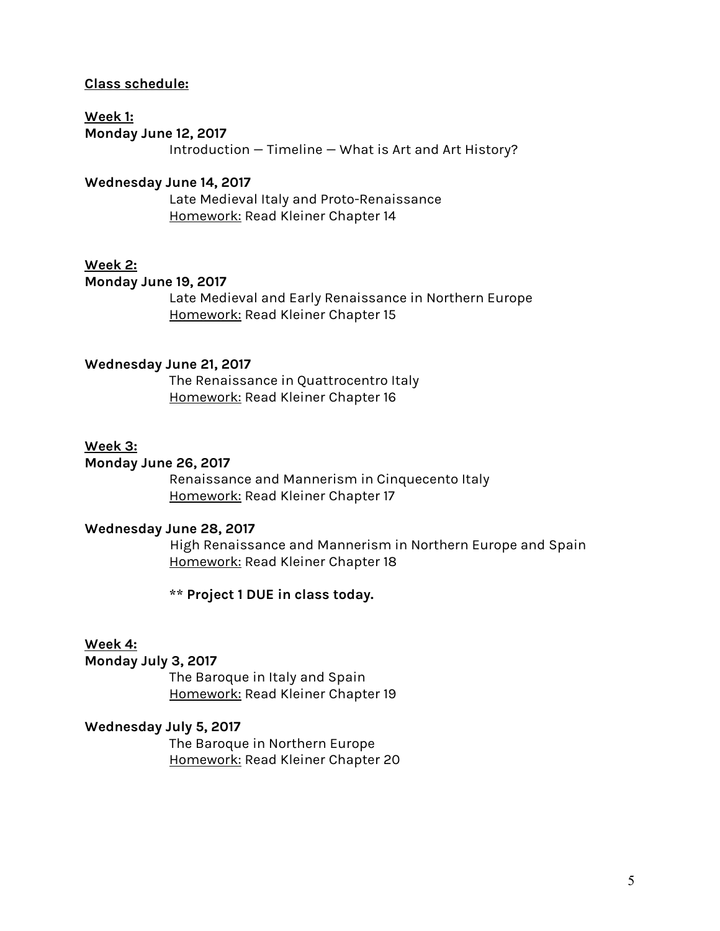### **Class schedule:**

## **Week 1:**

**Monday June 12, 2017**

Introduction — Timeline — What is Art and Art History?

## **Wednesday June 14, 2017**

Late Medieval Italy and Proto-Renaissance Homework: Read Kleiner Chapter 14

## **Week 2:**

### **Monday June 19, 2017**

Late Medieval and Early Renaissance in Northern Europe Homework: Read Kleiner Chapter 15

### **Wednesday June 21, 2017**

The Renaissance in Quattrocentro Italy Homework: Read Kleiner Chapter 16

### **Week 3:**

#### **Monday June 26, 2017**

Renaissance and Mannerism in Cinquecento Italy Homework: Read Kleiner Chapter 17

### **Wednesday June 28, 2017**

High Renaissance and Mannerism in Northern Europe and Spain Homework: Read Kleiner Chapter 18

**\*\* Project 1 DUE in class today.**

### **Week 4:**

### **Monday July 3, 2017**

The Baroque in Italy and Spain Homework: Read Kleiner Chapter 19

### **Wednesday July 5, 2017**

The Baroque in Northern Europe Homework: Read Kleiner Chapter 20